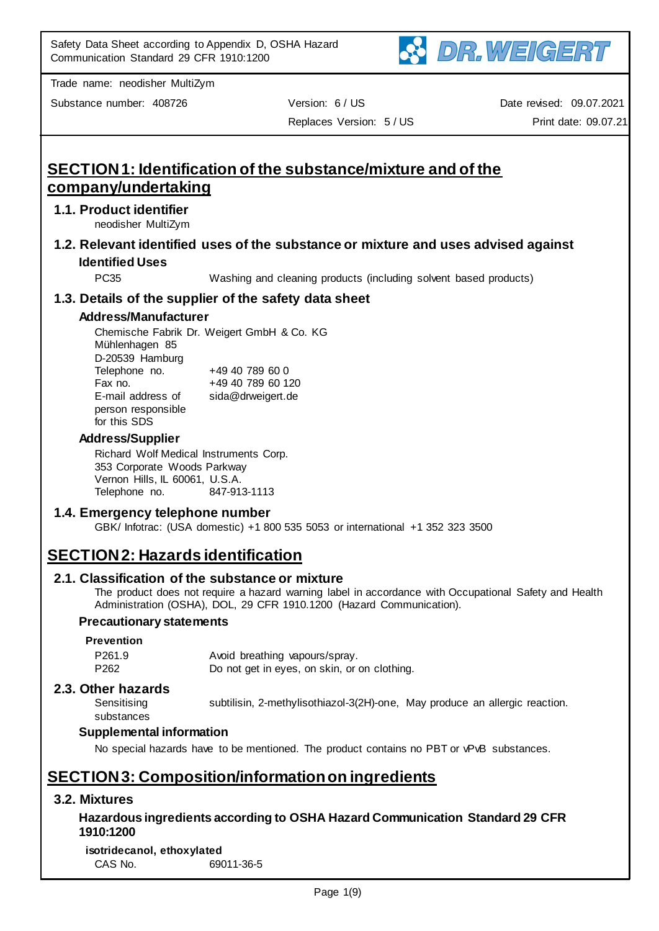

Substance number: 408726 Version: 6 / US

Replaces Version: 5 / US

Date revised: 09.07.2021 Print date: 09.07.21

# **SECTION 1: Identification of the substance/mixture and of the company/undertaking**

## **1.1. Product identifier**

neodisher MultiZym

**1.2. Relevant identified uses of the substance or mixture and uses advised against Identified Uses**

PC35 Washing and cleaning products (including solvent based products)

## **1.3. Details of the supplier of the safety data sheet**

### **Address/Manufacturer**

Chemische Fabrik Dr. Weigert GmbH & Co. KG Mühlenhagen 85 D-20539 Hamburg Telephone no. +49 40 789 60 0 Fax no. +49 40 789 60 120 E-mail address of person responsible for this SDS sida@drweigert.de

### **Address/Supplier**

Richard Wolf Medical Instruments Corp. 353 Corporate Woods Parkway Vernon Hills, IL 60061, U.S.A. Telephone no. 847-913-1113

## **1.4. Emergency telephone number**

GBK/ Infotrac: (USA domestic) +1 800 535 5053 or international +1 352 323 3500

# **SECTION 2: Hazards identification**

#### **2.1. Classification of the substance or mixture**

The product does not require a hazard warning label in accordance with Occupational Safety and Health Administration (OSHA), DOL, 29 CFR 1910.1200 (Hazard Communication).

#### **Precautionary statements**

#### **Prevention**

P261.9 Avoid breathing vapours/spray. P262 Do not get in eyes, on skin, or on clothing.

#### **2.3. Other hazards Sensitising**

substances

subtilisin, 2-methylisothiazol-3(2H)-one, May produce an allergic reaction.

## **Supplemental information**

No special hazards have to be mentioned. The product contains no PBT or vPvB substances.

## **SECTION 3: Composition/information on ingredients**

## **3.2. Mixtures**

## **Hazardous ingredients according to OSHA Hazard Communication Standard 29 CFR 1910:1200**

**isotridecanol, ethoxylated** CAS No. 69011-36-5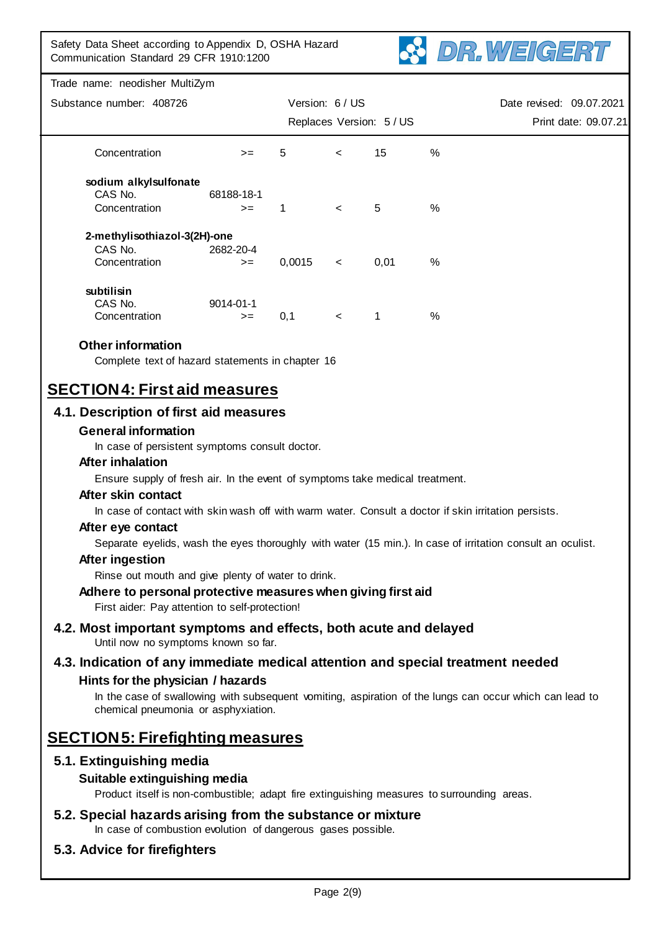

|                          | Trade name: neodisher MultiZym                                                                                                                                                      |                   |                 |                          |                          |      |                                                                                                            |
|--------------------------|-------------------------------------------------------------------------------------------------------------------------------------------------------------------------------------|-------------------|-----------------|--------------------------|--------------------------|------|------------------------------------------------------------------------------------------------------------|
| Substance number: 408726 |                                                                                                                                                                                     |                   | Version: 6 / US |                          | Date revised: 09.07.2021 |      |                                                                                                            |
|                          |                                                                                                                                                                                     |                   |                 |                          | Replaces Version: 5 / US |      | Print date: 09.07.21                                                                                       |
|                          | Concentration                                                                                                                                                                       | $>=$              | 5               | $\overline{\phantom{0}}$ | 15                       | %    |                                                                                                            |
|                          | sodium alkylsulfonate<br>CAS No.<br>Concentration                                                                                                                                   | 68188-18-1        | 1               |                          | 5                        | $\%$ |                                                                                                            |
|                          |                                                                                                                                                                                     | $>=$              |                 | $\prec$                  |                          |      |                                                                                                            |
|                          | 2-methylisothiazol-3(2H)-one<br>CAS No.<br>Concentration                                                                                                                            | 2682-20-4<br>$>=$ | 0,0015          | $\,<\,$                  | 0,01                     | %    |                                                                                                            |
|                          | subtilisin<br>CAS No.<br>Concentration                                                                                                                                              | 9014-01-1<br>$>=$ | 0,1             | $\,<\,$                  | 1                        | $\%$ |                                                                                                            |
|                          | <b>Other information</b><br>Complete text of hazard statements in chapter 16<br><b>SECTION4: First aid measures</b>                                                                 |                   |                 |                          |                          |      |                                                                                                            |
|                          |                                                                                                                                                                                     |                   |                 |                          |                          |      |                                                                                                            |
|                          | 4.1. Description of first aid measures<br><b>General information</b>                                                                                                                |                   |                 |                          |                          |      |                                                                                                            |
|                          | In case of persistent symptoms consult doctor.                                                                                                                                      |                   |                 |                          |                          |      |                                                                                                            |
|                          | After inhalation                                                                                                                                                                    |                   |                 |                          |                          |      |                                                                                                            |
|                          | Ensure supply of fresh air. In the event of symptoms take medical treatment.                                                                                                        |                   |                 |                          |                          |      |                                                                                                            |
|                          | After skin contact                                                                                                                                                                  |                   |                 |                          |                          |      |                                                                                                            |
|                          | In case of contact with skin wash off with warm water. Consult a doctor if skin irritation persists.<br>After eye contact                                                           |                   |                 |                          |                          |      |                                                                                                            |
|                          |                                                                                                                                                                                     |                   |                 |                          |                          |      | Separate eyelids, wash the eyes thoroughly with water (15 min.). In case of irritation consult an oculist. |
|                          | After ingestion                                                                                                                                                                     |                   |                 |                          |                          |      |                                                                                                            |
|                          | Rinse out mouth and give plenty of water to drink.                                                                                                                                  |                   |                 |                          |                          |      |                                                                                                            |
|                          | Adhere to personal protective measures when giving first aid<br>First aider: Pay attention to self-protection!                                                                      |                   |                 |                          |                          |      |                                                                                                            |
|                          | 4.2. Most important symptoms and effects, both acute and delayed<br>Until now no symptoms known so far.                                                                             |                   |                 |                          |                          |      |                                                                                                            |
|                          | 4.3. Indication of any immediate medical attention and special treatment needed                                                                                                     |                   |                 |                          |                          |      |                                                                                                            |
|                          | Hints for the physician / hazards<br>In the case of swallowing with subsequent vomiting, aspiration of the lungs can occur which can lead to<br>chemical pneumonia or asphyxiation. |                   |                 |                          |                          |      |                                                                                                            |
|                          | <b>SECTION5: Firefighting measures</b>                                                                                                                                              |                   |                 |                          |                          |      |                                                                                                            |
|                          | 5.1. Extinguishing media                                                                                                                                                            |                   |                 |                          |                          |      |                                                                                                            |
|                          | Suitable extinguishing media                                                                                                                                                        |                   |                 |                          |                          |      |                                                                                                            |
|                          |                                                                                                                                                                                     |                   |                 |                          |                          |      |                                                                                                            |

Product itself is non-combustible; adapt fire extinguishing measures to surrounding areas.

**5.2. Special hazards arising from the substance or mixture** In case of combustion evolution of dangerous gases possible.

## **5.3. Advice for firefighters**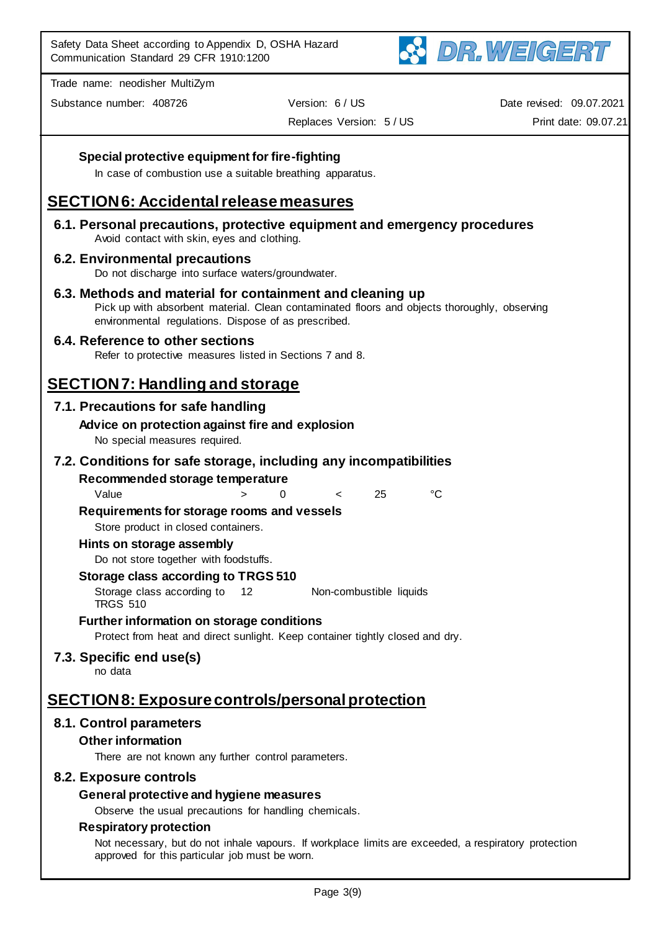

Substance number: 408726 Version: 6 / US

Replaces Version: 5 / US

Date revised: 09.07.2021

Print date: 09.07.21

## **Special protective equipment for fire-fighting**

In case of combustion use a suitable breathing apparatus.

## **SECTION 6: Accidental release measures**

**6.1. Personal precautions, protective equipment and emergency procedures** Avoid contact with skin, eyes and clothing.

#### **6.2. Environmental precautions**

Do not discharge into surface waters/groundwater.

**6.3. Methods and material for containment and cleaning up** Pick up with absorbent material. Clean contaminated floors and objects thoroughly, observing environmental regulations. Dispose of as prescribed.

## **6.4. Reference to other sections**

Refer to protective measures listed in Sections 7 and 8.

# **SECTION 7: Handling and storage**

## **7.1. Precautions for safe handling**

#### **Advice on protection against fire and explosion** No special measures required.

### **7.2. Conditions for safe storage, including any incompatibilities**

#### **Recommended storage temperature**

Value > 0 < 25 °C

#### **Requirements for storage rooms and vessels**

Store product in closed containers.

#### **Hints on storage assembly**

Do not store together with foodstuffs.

#### **Storage class according to TRGS 510**

Storage class according to TRGS 510 12 Non-combustible liquids

#### **Further information on storage conditions**

Protect from heat and direct sunlight. Keep container tightly closed and dry.

## **7.3. Specific end use(s)**

no data

## **SECTION 8: Exposure controls/personal protection**

## **8.1. Control parameters**

#### **Other information**

There are not known any further control parameters.

#### **8.2. Exposure controls**

#### **General protective and hygiene measures**

Observe the usual precautions for handling chemicals.

### **Respiratory protection**

Not necessary, but do not inhale vapours. If workplace limits are exceeded, a respiratory protection approved for this particular job must be worn.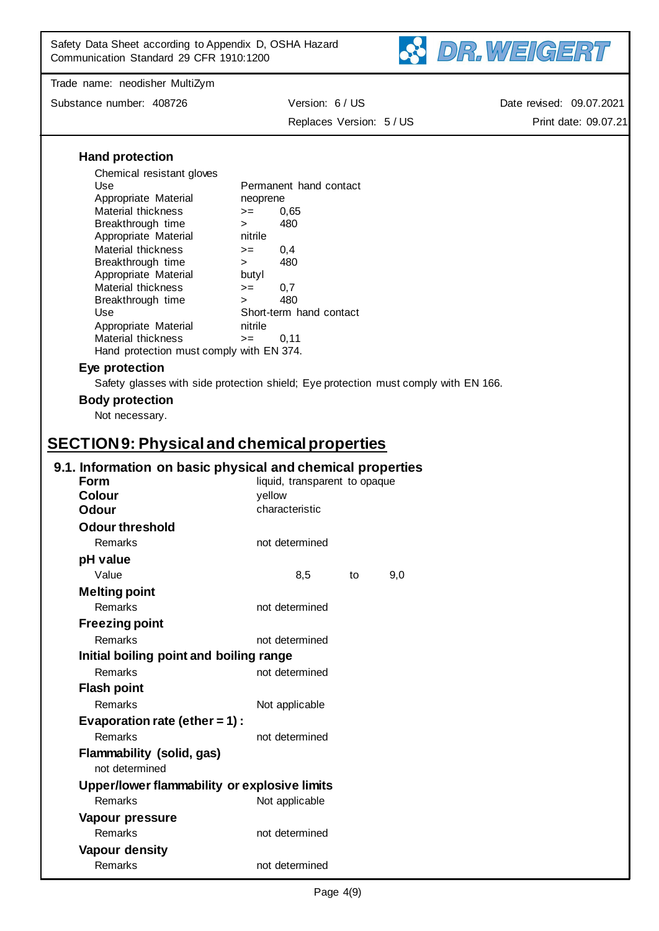

Substance number: 408726 Version: 6 / US

Replaces Version: 5 / US

Date revised: 09.07.2021 Print date: 09.07.21

|                                                   | $\mathbf{v}$ or $\mathbf{v}$ is the $\mathbf{v}$                                    |  |
|---------------------------------------------------|-------------------------------------------------------------------------------------|--|
| <b>Hand protection</b>                            |                                                                                     |  |
| Chemical resistant gloves                         |                                                                                     |  |
| Use                                               | Permanent hand contact                                                              |  |
| Appropriate Material                              | neoprene                                                                            |  |
| Material thickness                                | 0,65<br>$>=$                                                                        |  |
| Breakthrough time<br>Appropriate Material         | 480<br>$>$ $\sim$<br>nitrile                                                        |  |
| Material thickness                                | 0,4<br>$>=$                                                                         |  |
| Breakthrough time                                 | 480<br>$>$ $\sim$                                                                   |  |
| Appropriate Material                              | butyl                                                                               |  |
| Material thickness                                | 0,7<br>$>=$                                                                         |  |
| Breakthrough time<br>Use                          | 480<br>$\geq$<br>Short-term hand contact                                            |  |
| Appropriate Material                              | nitrile                                                                             |  |
| Material thickness                                | 0,11<br>$>=$                                                                        |  |
| Hand protection must comply with EN 374.          |                                                                                     |  |
| Eye protection                                    |                                                                                     |  |
|                                                   | Safety glasses with side protection shield; Eye protection must comply with EN 166. |  |
| <b>Body protection</b>                            |                                                                                     |  |
| Not necessary.                                    |                                                                                     |  |
| <b>SECTION9: Physical and chemical properties</b> |                                                                                     |  |
|                                                   |                                                                                     |  |
|                                                   | 9.1. Information on basic physical and chemical properties                          |  |
| <b>Form</b><br><b>Colour</b>                      | liquid, transparent to opaque<br>yellow                                             |  |
| Odour                                             | characteristic                                                                      |  |
| <b>Odour threshold</b>                            |                                                                                     |  |
| Remarks                                           | not determined                                                                      |  |
|                                                   |                                                                                     |  |
| pH value<br>Value                                 | 8,5<br>9,0                                                                          |  |
|                                                   | to                                                                                  |  |
| <b>Melting point</b>                              |                                                                                     |  |
| Remarks                                           | not determined                                                                      |  |
| <b>Freezing point</b>                             |                                                                                     |  |
| Remarks                                           | not determined                                                                      |  |
| Initial boiling point and boiling range           |                                                                                     |  |
| Remarks                                           | not determined                                                                      |  |
| <b>Flash point</b>                                |                                                                                     |  |
| <b>Remarks</b>                                    | Not applicable                                                                      |  |
| Evaporation rate (ether = $1$ ) :                 |                                                                                     |  |
| <b>Remarks</b>                                    | not determined                                                                      |  |
| Flammability (solid, gas)<br>not determined       |                                                                                     |  |
| Upper/lower flammability or explosive limits      |                                                                                     |  |
| Remarks                                           | Not applicable                                                                      |  |
| Vapour pressure                                   |                                                                                     |  |
| Remarks                                           | not determined                                                                      |  |
| Vapour density                                    |                                                                                     |  |
| Remarks                                           | not determined                                                                      |  |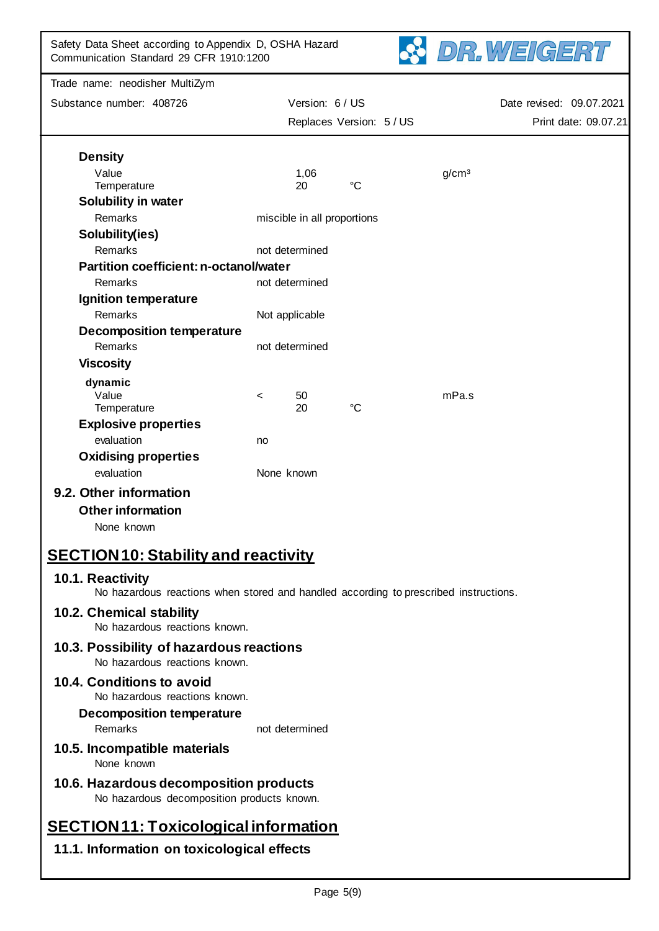| Safety Data Sheet according to Appendix D, OSHA Hazard<br>DR.WEIGERT<br>Communication Standard 29 CFR 1910:1200 |                          |                             |             |  |                      |                          |  |
|-----------------------------------------------------------------------------------------------------------------|--------------------------|-----------------------------|-------------|--|----------------------|--------------------------|--|
| Trade name: neodisher MultiZym                                                                                  |                          |                             |             |  |                      |                          |  |
| Substance number: 408726                                                                                        |                          | Version: 6 / US             |             |  |                      | Date revised: 09.07.2021 |  |
|                                                                                                                 | Replaces Version: 5 / US |                             |             |  | Print date: 09.07.21 |                          |  |
| <b>Density</b>                                                                                                  |                          |                             |             |  |                      |                          |  |
| Value                                                                                                           |                          | 1,06                        |             |  | g/cm <sup>3</sup>    |                          |  |
| Temperature                                                                                                     |                          | 20                          | $^{\circ}C$ |  |                      |                          |  |
| <b>Solubility in water</b>                                                                                      |                          |                             |             |  |                      |                          |  |
| Remarks                                                                                                         |                          | miscible in all proportions |             |  |                      |                          |  |
| Solubility(ies)                                                                                                 |                          |                             |             |  |                      |                          |  |
| Remarks                                                                                                         |                          | not determined              |             |  |                      |                          |  |
| Partition coefficient: n-octanol/water                                                                          |                          |                             |             |  |                      |                          |  |
| Remarks                                                                                                         |                          | not determined              |             |  |                      |                          |  |
| Ignition temperature                                                                                            |                          |                             |             |  |                      |                          |  |
| Remarks                                                                                                         |                          | Not applicable              |             |  |                      |                          |  |
| <b>Decomposition temperature</b>                                                                                |                          |                             |             |  |                      |                          |  |
| Remarks                                                                                                         |                          | not determined              |             |  |                      |                          |  |
| <b>Viscosity</b>                                                                                                |                          |                             |             |  |                      |                          |  |
| dynamic                                                                                                         |                          |                             |             |  |                      |                          |  |
| Value                                                                                                           | $\,<\,$                  | 50                          |             |  | mPa.s                |                          |  |
| Temperature                                                                                                     |                          | 20                          | $^{\circ}C$ |  |                      |                          |  |
| <b>Explosive properties</b>                                                                                     |                          |                             |             |  |                      |                          |  |
| evaluation                                                                                                      | no                       |                             |             |  |                      |                          |  |
| <b>Oxidising properties</b>                                                                                     |                          |                             |             |  |                      |                          |  |
| evaluation                                                                                                      | None known               |                             |             |  |                      |                          |  |
| . .<br>$\sim$ $\sim$ $\sim$                                                                                     |                          |                             |             |  |                      |                          |  |

## **9.2. Other information**

**Other information**

None known

# **SECTION 10: Stability and reactivity**

## **10.1. Reactivity**

No hazardous reactions when stored and handled according to prescribed instructions.

## **10.2. Chemical stability**

No hazardous reactions known.

**10.3. Possibility of hazardous reactions** No hazardous reactions known.

## **10.4. Conditions to avoid**

No hazardous reactions known.

**Decomposition temperature**

Remarks not determined

- **10.5. Incompatible materials** None known
- **10.6. Hazardous decomposition products** No hazardous decomposition products known.

# **SECTION 11: Toxicological information**

## **11.1. Information on toxicological effects**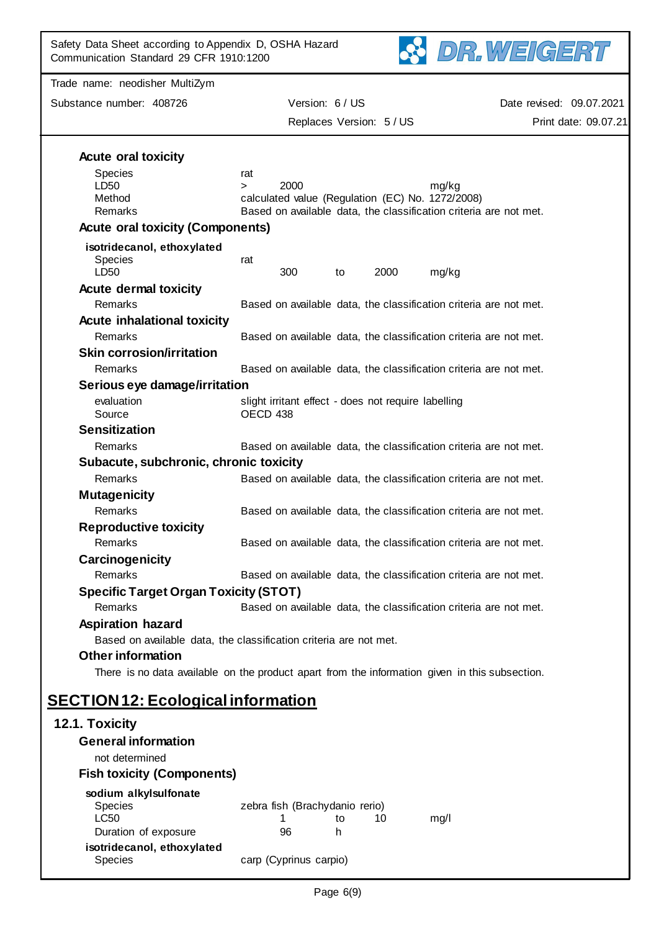| Safety Data Sheet according to Appendix D, OSHA Hazard<br>Communication Standard 29 CFR 1910:1200 |                                                                                                                       | DR.WEIGERT                                       |
|---------------------------------------------------------------------------------------------------|-----------------------------------------------------------------------------------------------------------------------|--------------------------------------------------|
| Trade name: neodisher MultiZym                                                                    |                                                                                                                       |                                                  |
| Substance number: 408726                                                                          | Version: 6 / US<br>Replaces Version: 5 / US                                                                           | Date revised: 09.07.2021<br>Print date: 09.07.21 |
| <b>Acute oral toxicity</b>                                                                        |                                                                                                                       |                                                  |
| <b>Species</b>                                                                                    | rat                                                                                                                   |                                                  |
| LD50                                                                                              | 2000<br>mg/kg<br>$\geq$                                                                                               |                                                  |
| Method<br>Remarks                                                                                 | calculated value (Regulation (EC) No. 1272/2008)<br>Based on available data, the classification criteria are not met. |                                                  |
| <b>Acute oral toxicity (Components)</b>                                                           |                                                                                                                       |                                                  |
| isotridecanol, ethoxylated<br>Species<br>LD50                                                     | rat<br>300<br>2000<br>mg/kg<br>to                                                                                     |                                                  |
| <b>Acute dermal toxicity</b>                                                                      |                                                                                                                       |                                                  |
| Remarks                                                                                           | Based on available data, the classification criteria are not met.                                                     |                                                  |
| <b>Acute inhalational toxicity</b>                                                                |                                                                                                                       |                                                  |
| Remarks                                                                                           | Based on available data, the classification criteria are not met.                                                     |                                                  |
| <b>Skin corrosion/irritation</b><br>Remarks                                                       | Based on available data, the classification criteria are not met.                                                     |                                                  |
| Serious eye damage/irritation                                                                     |                                                                                                                       |                                                  |
| evaluation                                                                                        | slight irritant effect - does not require labelling                                                                   |                                                  |
| Source                                                                                            | OECD 438                                                                                                              |                                                  |
| <b>Sensitization</b>                                                                              |                                                                                                                       |                                                  |
| Remarks                                                                                           | Based on available data, the classification criteria are not met.                                                     |                                                  |
| Subacute, subchronic, chronic toxicity<br>Remarks                                                 | Based on available data, the classification criteria are not met.                                                     |                                                  |
| <b>Mutagenicity</b>                                                                               |                                                                                                                       |                                                  |
| Remarks                                                                                           | Based on available data, the classification criteria are not met.                                                     |                                                  |
| <b>Reproductive toxicity</b>                                                                      |                                                                                                                       |                                                  |
| Remarks                                                                                           | Based on available data, the classification criteria are not met.                                                     |                                                  |
| Carcinogenicity                                                                                   |                                                                                                                       |                                                  |
| Remarks                                                                                           | Based on available data, the classification criteria are not met.                                                     |                                                  |
| <b>Specific Target Organ Toxicity (STOT)</b><br>Remarks                                           | Based on available data, the classification criteria are not met.                                                     |                                                  |
| <b>Aspiration hazard</b>                                                                          |                                                                                                                       |                                                  |
|                                                                                                   | Based on available data, the classification criteria are not met.                                                     |                                                  |
| <b>Other information</b>                                                                          |                                                                                                                       |                                                  |
|                                                                                                   | There is no data available on the product apart from the information given in this subsection.                        |                                                  |
| <b>SECTION 12: Ecological information</b>                                                         |                                                                                                                       |                                                  |
| 12.1. Toxicity                                                                                    |                                                                                                                       |                                                  |
| <b>General information</b>                                                                        |                                                                                                                       |                                                  |
| not determined                                                                                    |                                                                                                                       |                                                  |
| <b>Fish toxicity (Components)</b>                                                                 |                                                                                                                       |                                                  |
| sodium alkylsulfonate                                                                             |                                                                                                                       |                                                  |
| Species<br><b>LC50</b>                                                                            | zebra fish (Brachydanio rerio)<br>10<br>mg/l<br>to                                                                    |                                                  |
| Duration of exposure                                                                              | 96<br>h.                                                                                                              |                                                  |
| isotridecanol, ethoxylated                                                                        |                                                                                                                       |                                                  |

Species **carp (Cyprinus carpio)**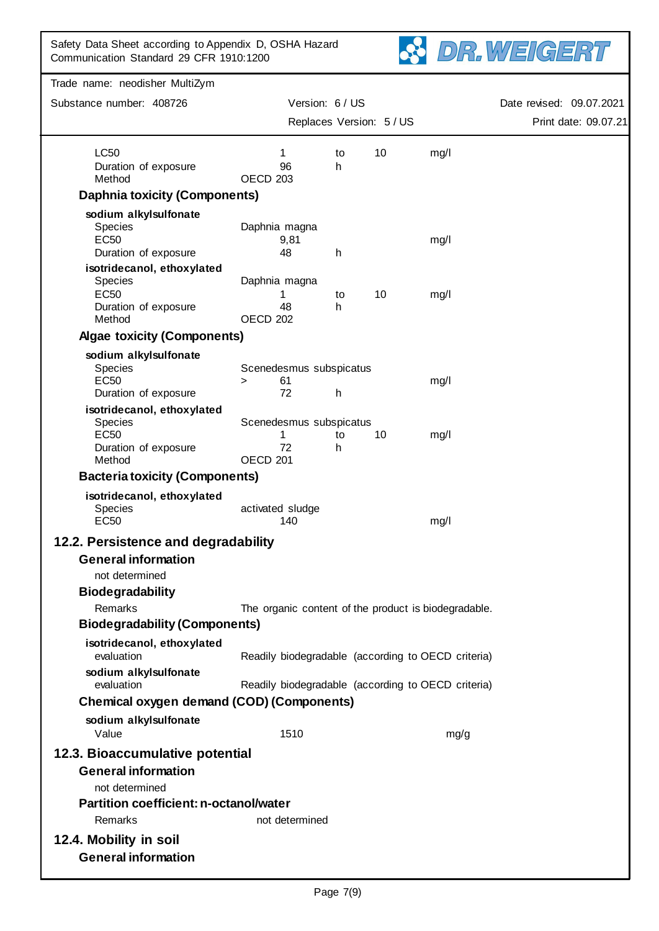

| Substance number: 408726                                        |                                                 | Version: 6 / US          |                      |                                                      | Date revised: 09.07.2021 |
|-----------------------------------------------------------------|-------------------------------------------------|--------------------------|----------------------|------------------------------------------------------|--------------------------|
|                                                                 |                                                 | Replaces Version: 5 / US | Print date: 09.07.21 |                                                      |                          |
| <b>LC50</b>                                                     | 1                                               | to                       | 10                   | mg/l                                                 |                          |
| Duration of exposure<br>Method                                  | 96<br>OECD <sub>203</sub>                       | h                        |                      |                                                      |                          |
| <b>Daphnia toxicity (Components)</b>                            |                                                 |                          |                      |                                                      |                          |
| sodium alkylsulfonate                                           |                                                 |                          |                      |                                                      |                          |
| Species<br><b>EC50</b><br>Duration of exposure                  | Daphnia magna<br>9,81<br>48                     | h                        |                      | mg/l                                                 |                          |
| isotridecanol, ethoxylated                                      |                                                 |                          |                      |                                                      |                          |
| <b>Species</b><br><b>EC50</b><br>Duration of exposure<br>Method | Daphnia magna<br>1<br>48<br>OECD <sub>202</sub> | to<br>h.                 | 10                   | mg/l                                                 |                          |
| <b>Algae toxicity (Components)</b>                              |                                                 |                          |                      |                                                      |                          |
| sodium alkylsulfonate                                           |                                                 |                          |                      |                                                      |                          |
| Species<br><b>EC50</b><br>Duration of exposure                  | Scenedesmus subspicatus<br>61<br>$\geq$<br>72   | h                        |                      | mg/l                                                 |                          |
| isotridecanol, ethoxylated                                      |                                                 |                          |                      |                                                      |                          |
| Species<br><b>EC50</b><br>Duration of exposure                  | Scenedesmus subspicatus<br>1<br>72              | to<br>h                  | 10                   | mg/l                                                 |                          |
| Method                                                          | OECD <sub>201</sub>                             |                          |                      |                                                      |                          |
| <b>Bacteria toxicity (Components)</b>                           |                                                 |                          |                      |                                                      |                          |
| isotridecanol, ethoxylated<br><b>Species</b><br><b>EC50</b>     | activated sludge<br>140                         |                          |                      | mg/l                                                 |                          |
| 12.2. Persistence and degradability                             |                                                 |                          |                      |                                                      |                          |
| <b>General information</b><br>not determined                    |                                                 |                          |                      |                                                      |                          |
| Biodegradability                                                |                                                 |                          |                      |                                                      |                          |
| Remarks                                                         |                                                 |                          |                      | The organic content of the product is biodegradable. |                          |
| <b>Biodegradability (Components)</b>                            |                                                 |                          |                      |                                                      |                          |
| isotridecanol, ethoxylated<br>evaluation                        |                                                 |                          |                      | Readily biodegradable (according to OECD criteria)   |                          |
| sodium alkylsulfonate                                           |                                                 |                          |                      |                                                      |                          |
| evaluation                                                      |                                                 |                          |                      | Readily biodegradable (according to OECD criteria)   |                          |
| <b>Chemical oxygen demand (COD) (Components)</b>                |                                                 |                          |                      |                                                      |                          |
| sodium alkylsulfonate<br>Value                                  | 1510                                            |                          |                      | mg/g                                                 |                          |
| 12.3. Bioaccumulative potential                                 |                                                 |                          |                      |                                                      |                          |
| <b>General information</b><br>not determined                    |                                                 |                          |                      |                                                      |                          |
| <b>Partition coefficient: n-octanol/water</b>                   |                                                 |                          |                      |                                                      |                          |
| Remarks                                                         | not determined                                  |                          |                      |                                                      |                          |
| 12.4. Mobility in soil                                          |                                                 |                          |                      |                                                      |                          |
| <b>General information</b>                                      |                                                 |                          |                      |                                                      |                          |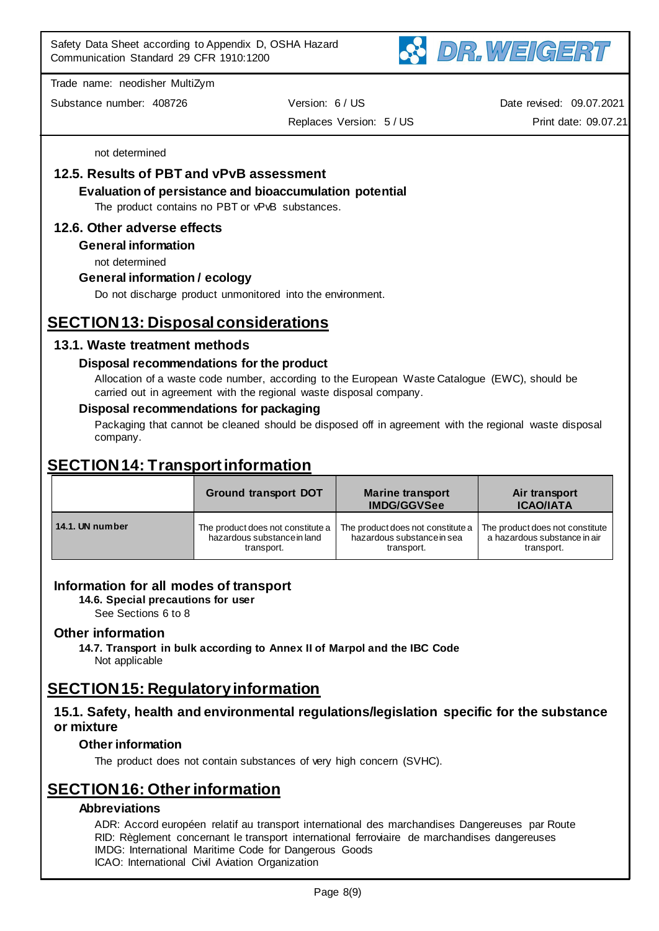

Substance number: 408726 Version: 6 / US Replaces Version: 5 / US Date revised: 09.07.2021 Print date: 09.07.21

not determined

## **12.5. Results of PBT and vPvB assessment**

**Evaluation of persistance and bioaccumulation potential**

The product contains no PBT or vPvB substances.

## **12.6. Other adverse effects**

**General information**

not determined

## **General information / ecology**

Do not discharge product unmonitored into the environment.

# **SECTION 13: Disposal considerations**

## **13.1. Waste treatment methods**

### **Disposal recommendations for the product**

Allocation of a waste code number, according to the European Waste Catalogue (EWC), should be carried out in agreement with the regional waste disposal company.

### **Disposal recommendations for packaging**

Packaging that cannot be cleaned should be disposed off in agreement with the regional waste disposal company.

# **SECTION 14: Transport information**

| <b>Ground transport DOT</b> |                                   | <b>Marine transport</b><br><b>IMDG/GGVSee</b> | Air transport<br><b>ICAO/IATA</b> |  |
|-----------------------------|-----------------------------------|-----------------------------------------------|-----------------------------------|--|
| 14.1. UN number             | The product does not constitute a | The product does not constitute a             | The product does not constitute   |  |
|                             | hazardous substance in land       | hazardous substance in sea                    | a hazardous substance in air      |  |
|                             | transport.                        | transport.                                    | transport.                        |  |

## **Information for all modes of transport**

**14.6. Special precautions for user**

See Sections 6 to 8

## **Other information**

**14.7. Transport in bulk according to Annex II of Marpol and the IBC Code** Not applicable

# **SECTION 15: Regulatory information**

## **15.1. Safety, health and environmental regulations/legislation specific for the substance or mixture**

## **Other information**

The product does not contain substances of very high concern (SVHC).

# **SECTION 16: Other information**

## **Abbreviations**

ADR: Accord européen relatif au transport international des marchandises Dangereuses par Route RID: Règlement concernant le transport international ferroviaire de marchandises dangereuses IMDG: International Maritime Code for Dangerous Goods ICAO: International Civil Aviation Organization